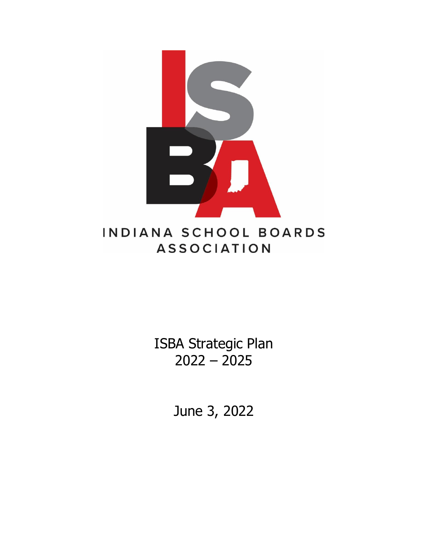

ISBA Strategic Plan 2022 – 2025

June 3, 2022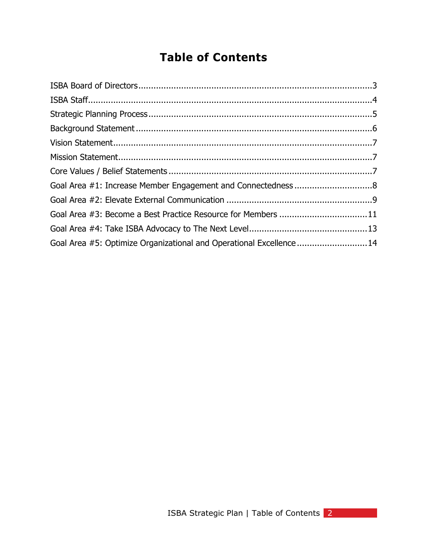# **Table of Contents**

<span id="page-1-0"></span>

| Goal Area #1: Increase Member Engagement and Connectedness 8       |  |
|--------------------------------------------------------------------|--|
|                                                                    |  |
| Goal Area #3: Become a Best Practice Resource for Members 11       |  |
|                                                                    |  |
| Goal Area #5: Optimize Organizational and Operational Excellence14 |  |
|                                                                    |  |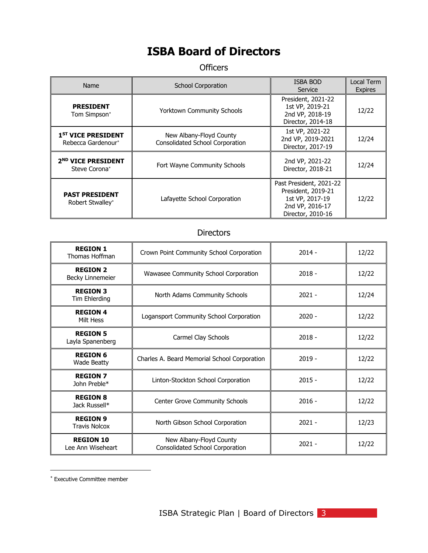## **ISBA Board of Directors**

**Officers** 

| Name                                                                                                                                                                                  | <b>School Corporation</b>                                         | <b>ISBA BOD</b><br>Service                                                    | Local Term<br><b>Expires</b> |
|---------------------------------------------------------------------------------------------------------------------------------------------------------------------------------------|-------------------------------------------------------------------|-------------------------------------------------------------------------------|------------------------------|
| <b>PRESIDENT</b><br>Tom Simpson*                                                                                                                                                      | <b>Yorktown Community Schools</b>                                 | President, 2021-22<br>1st VP, 2019-21<br>2nd VP, 2018-19<br>Director, 2014-18 | 12/22                        |
| 1 <sup>ST</sup> VICE PRESIDENT<br>Rebecca Gardenour*                                                                                                                                  | New Albany-Floyd County<br><b>Consolidated School Corporation</b> | 1st VP, 2021-22<br>2nd VP, 2019-2021<br>Director, 2017-19                     | 12/24                        |
| 2 <sup>ND</sup> VICE PRESIDENT<br>Steve Corona*                                                                                                                                       | Fort Wayne Community Schools                                      | 2nd VP, 2021-22<br>Director, 2018-21                                          | 12/24                        |
| Past President, 2021-22<br>President, 2019-21<br><b>PAST PRESIDENT</b><br>Lafayette School Corporation<br>1st VP, 2017-19<br>Robert Stwalley*<br>2nd VP, 2016-17<br>Director, 2010-16 |                                                                   | 12/22                                                                         |                              |

### **Directors**

| <b>REGION 1</b><br>Thomas Hoffman       | $2014 -$<br>Crown Point Community School Corporation                   |          | 12/22 |
|-----------------------------------------|------------------------------------------------------------------------|----------|-------|
| <b>REGION 2</b><br>Becky Linnemeier     | Wawasee Community School Corporation<br>$2018 -$                       |          | 12/22 |
| <b>REGION 3</b><br>Tim Ehlerding        | $2021 -$<br>North Adams Community Schools                              |          | 12/24 |
| <b>REGION 4</b><br>Milt Hess            | Logansport Community School Corporation                                | $2020 -$ | 12/22 |
| <b>REGION 5</b><br>Layla Spanenberg     | Carmel Clay Schools<br>$2018 -$                                        |          | 12/22 |
| <b>REGION 6</b><br><b>Wade Beatty</b>   | Charles A. Beard Memorial School Corporation                           | $2019 -$ | 12/22 |
| <b>REGION 7</b><br>John Preble*         | Linton-Stockton School Corporation                                     | $2015 -$ | 12/22 |
| <b>REGION 8</b><br>Jack Russell*        | <b>Center Grove Community Schools</b>                                  | $2016 -$ | 12/22 |
| <b>REGION 9</b><br><b>Travis Nolcox</b> | $2021 -$<br>North Gibson School Corporation                            |          | 12/23 |
| <b>REGION 10</b><br>Lee Ann Wiseheart   | New Albany-Floyd County<br>$2021 -$<br>Consolidated School Corporation |          | 12/22 |

<span id="page-2-0"></span>Executive Committee member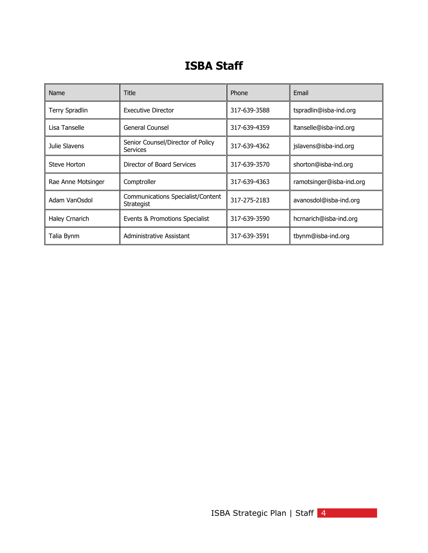## <span id="page-3-0"></span>**ISBA Staff**

| Name                  | Title                                                  | Phone        | Email                    |
|-----------------------|--------------------------------------------------------|--------------|--------------------------|
| <b>Terry Spradlin</b> | <b>Executive Director</b>                              | 317-639-3588 | tspradlin@isba-ind.org   |
| Lisa Tanselle         | General Counsel                                        | 317-639-4359 | ltanselle@isba-ind.org   |
| Julie Slavens         | Senior Counsel/Director of Policy<br>Services          | 317-639-4362 | jslavens@isba-ind.org    |
| Steve Horton          | Director of Board Services                             | 317-639-3570 | shorton@isba-ind.org     |
| Rae Anne Motsinger    | Comptroller                                            | 317-639-4363 | ramotsinger@isba-ind.org |
| Adam VanOsdol         | Communications Specialist/Content<br><b>Strategist</b> | 317-275-2183 | avanosdol@isba-ind.org   |
| Haley Crnarich        | Events & Promotions Specialist                         | 317-639-3590 | hcrnarich@isba-ind.org   |
| Talia Bynm            | Administrative Assistant                               | 317-639-3591 | tbynm@isba-ind.org       |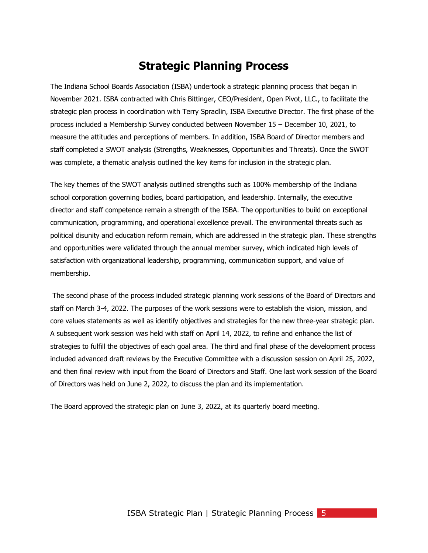### **Strategic Planning Process**

The Indiana School Boards Association (ISBA) undertook a strategic planning process that began in November 2021. ISBA contracted with Chris Bittinger, CEO/President, Open Pivot, LLC., to facilitate the strategic plan process in coordination with Terry Spradlin, ISBA Executive Director. The first phase of the process included a Membership Survey conducted between November  $15$  – December 10, 2021, to measure the attitudes and perceptions of members. In addition, ISBA Board of Director members and staff completed a SWOT analysis (Strengths, Weaknesses, Opportunities and Threats). Once the SWOT was complete, a thematic analysis outlined the key items for inclusion in the strategic plan.

The key themes of the SWOT analysis outlined strengths such as 100% membership of the Indiana school corporation governing bodies, board participation, and leadership. Internally, the executive director and staff competence remain a strength of the ISBA. The opportunities to build on exceptional communication, programming, and operational excellence prevail. The environmental threats such as political disunity and education reform remain, which are addressed in the strategic plan. These strengths and opportunities were validated through the annual member survey, which indicated high levels of satisfaction with organizational leadership, programming, communication support, and value of membership.

The second phase of the process included strategic planning work sessions of the Board of Directors and staff on March 3-4, 2022. The purposes of the work sessions were to establish the vision, mission, and core values statements as well as identify objectives and strategies for the new three-year strategic plan. A subsequent work session was held with staff on April 14, 2022, to refine and enhance the list of strategies to fulfill the objectives of each goal area. The third and final phase of the development process included advanced draft reviews by the Executive Committee with a discussion session on April 25, 2022, and then final review with input from the Board of Directors and Staff. One last work session of the Board of Directors was held on June 2, 2022, to discuss the plan and its implementation.

<span id="page-4-0"></span>The Board approved the strategic plan on June 3, 2022, at its quarterly board meeting.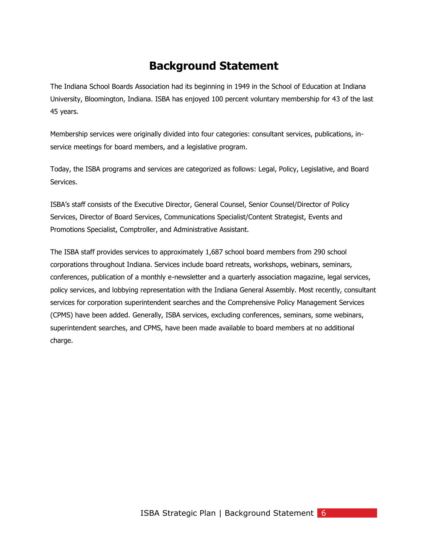## **Background Statement**

The Indiana School Boards Association had its beginning in 1949 in the School of Education at Indiana University, Bloomington, Indiana. ISBA has enjoyed 100 percent voluntary membership for 43 of the last 45 years.

Membership services were originally divided into four categories: consultant services, publications, inservice meetings for board members, and a legislative program.

Today, the ISBA programs and services are categorized as follows: Legal, Policy, Legislative, and Board Services.

ISBA's staff consists of the Executive Director, General Counsel, Senior Counsel/Director of Policy Services, Director of Board Services, Communications Specialist/Content Strategist, Events and Promotions Specialist, Comptroller, and Administrative Assistant.

<span id="page-5-0"></span>The ISBA staff provides services to approximately 1,687 school board members from 290 school corporations throughout Indiana. Services include board retreats, workshops, webinars, seminars, conferences, publication of a monthly e-newsletter and a quarterly association magazine, legal services, policy services, and lobbying representation with the Indiana General Assembly. Most recently, consultant services for corporation superintendent searches and the Comprehensive Policy Management Services (CPMS) have been added. Generally, ISBA services, excluding conferences, seminars, some webinars, superintendent searches, and CPMS, have been made available to board members at no additional charge.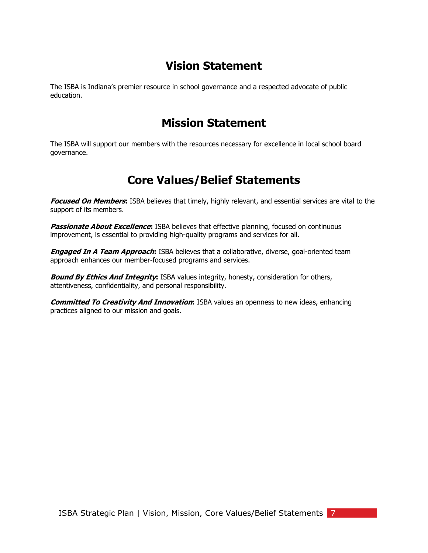## **Vision Statement**

<span id="page-6-0"></span>The ISBA is Indiana's premier resource in school governance and a respected advocate of public education.

### **Mission Statement**

<span id="page-6-1"></span>The ISBA will support our members with the resources necessary for excellence in local school board governance.

### **Core Values/Belief Statements**

**Focused On Members:** ISBA believes that timely, highly relevant, and essential services are vital to the support of its members.

**Passionate About Excellence:** ISBA believes that effective planning, focused on continuous improvement, is essential to providing high-quality programs and services for all.

**Engaged In A Team Approach:** ISBA believes that a collaborative, diverse, goal-oriented team approach enhances our member-focused programs and services.

**Bound By Ethics And Integrity:** ISBA values integrity, honesty, consideration for others, attentiveness, confidentiality, and personal responsibility.

<span id="page-6-2"></span>**Committed To Creativity And Innovation:** ISBA values an openness to new ideas, enhancing practices aligned to our mission and goals.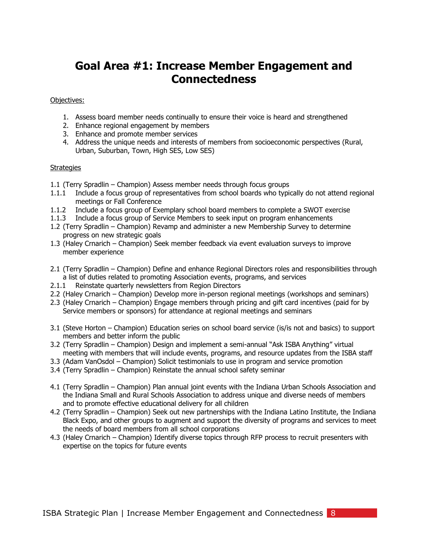## **Goal Area #1: Increase Member Engagement and Connectedness**

#### Objectives:

- 1. Assess board member needs continually to ensure their voice is heard and strengthened
- 2. Enhance regional engagement by members
- 3. Enhance and promote member services
- 4. Address the unique needs and interests of members from socioeconomic perspectives (Rural, Urban, Suburban, Town, High SES, Low SES)

- 1.1 (Terry Spradlin Champion) Assess member needs through focus groups
- 1.1.1 Include a focus group of representatives from school boards who typically do not attend regional meetings or Fall Conference
- 1.1.2 Include a focus group of Exemplary school board members to complete a SWOT exercise
- 1.1.3 Include a focus group of Service Members to seek input on program enhancements
- 1.2 (Terry Spradlin Champion) Revamp and administer a new Membership Survey to determine progress on new strategic goals
- 1.3 (Haley Crnarich Champion) Seek member feedback via event evaluation surveys to improve member experience
- 2.1 (Terry Spradlin Champion) Define and enhance Regional Directors roles and responsibilities through a list of duties related to promoting Association events, programs, and services
- 2.1.1 Reinstate quarterly newsletters from Region Directors
- 2.2 (Haley Crnarich Champion) Develop more in-person regional meetings (workshops and seminars)
- 2.3 (Haley Crnarich Champion) Engage members through pricing and gift card incentives (paid for by Service members or sponsors) for attendance at regional meetings and seminars
- 3.1 (Steve Horton Champion) Education series on school board service (is/is not and basics) to support members and better inform the public
- 3.2 (Terry Spradlin Champion) Design and implement a semi-annual "Ask ISBA Anything" virtual meeting with members that will include events, programs, and resource updates from the ISBA staff
- 3.3 (Adam VanOsdol Champion) Solicit testimonials to use in program and service promotion
- 3.4 (Terry Spradlin Champion) Reinstate the annual school safety seminar
- 4.1 (Terry Spradlin Champion) Plan annual joint events with the Indiana Urban Schools Association and the Indiana Small and Rural Schools Association to address unique and diverse needs of members and to promote effective educational delivery for all children
- 4.2 (Terry Spradlin Champion) Seek out new partnerships with the Indiana Latino Institute, the Indiana Black Expo, and other groups to augment and support the diversity of programs and services to meet the needs of board members from all school corporations
- <span id="page-7-0"></span>4.3 (Haley Crnarich – Champion) Identify diverse topics through RFP process to recruit presenters with expertise on the topics for future events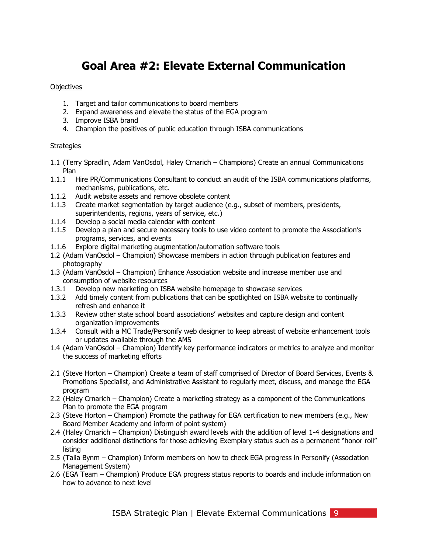## **Goal Area #2: Elevate External Communication**

### **Objectives**

- 1. Target and tailor communications to board members
- 2. Expand awareness and elevate the status of the EGA program
- 3. Improve ISBA brand
- 4. Champion the positives of public education through ISBA communications

- 1.1 (Terry Spradlin, Adam VanOsdol, Haley Crnarich Champions) Create an annual Communications Plan
- 1.1.1 Hire PR/Communications Consultant to conduct an audit of the ISBA communications platforms, mechanisms, publications, etc.
- 1.1.2 Audit website assets and remove obsolete content
- 1.1.3 Create market segmentation by target audience (e.g., subset of members, presidents, superintendents, regions, years of service, etc.)
- 1.1.4 Develop a social media calendar with content
- 1.1.5 Develop a plan and secure necessary tools to use video content to promote the Association's programs, services, and events
- 1.1.6 Explore digital marketing augmentation/automation software tools
- 1.2 (Adam VanOsdol Champion) Showcase members in action through publication features and photography
- 1.3 (Adam VanOsdol Champion) Enhance Association website and increase member use and consumption of website resources
- 1.3.1 Develop new marketing on ISBA website homepage to showcase services
- 1.3.2 Add timely content from publications that can be spotlighted on ISBA website to continually refresh and enhance it
- 1.3.3 Review other state school board associations' websites and capture design and content organization improvements
- 1.3.4 Consult with a MC Trade/Personify web designer to keep abreast of website enhancement tools or updates available through the AMS
- 1.4 (Adam VanOsdol Champion) Identify key performance indicators or metrics to analyze and monitor the success of marketing efforts
- 2.1 (Steve Horton Champion) Create a team of staff comprised of Director of Board Services, Events & Promotions Specialist, and Administrative Assistant to regularly meet, discuss, and manage the EGA program
- 2.2 (Haley Crnarich Champion) Create a marketing strategy as a component of the Communications Plan to promote the EGA program
- 2.3 (Steve Horton Champion) Promote the pathway for EGA certification to new members (e.g., New Board Member Academy and inform of point system)
- 2.4 (Haley Crnarich Champion) Distinguish award levels with the addition of level 1-4 designations and consider additional distinctions for those achieving Exemplary status such as a permanent "honor roll" listing
- 2.5 (Talia Bynm Champion) Inform members on how to check EGA progress in Personify (Association Management System)
- 2.6 (EGA Team Champion) Produce EGA progress status reports to boards and include information on how to advance to next level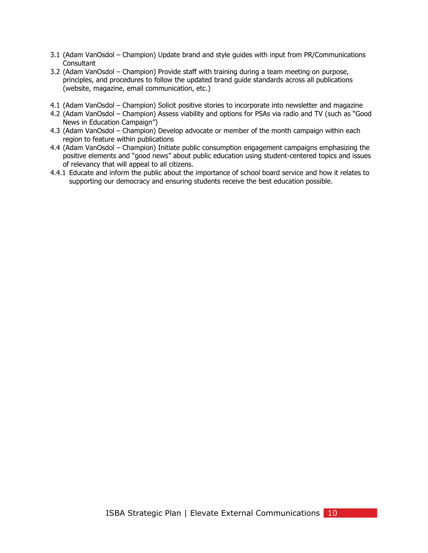- 3.1 (Adam VanOsdol Champion) Update brand and style guides with input from PR/Communications **Consultant**
- 3.2 (Adam VanOsdol Champion) Provide staff with training during a team meeting on purpose, principles, and procedures to follow the updated brand guide standards across all publications (website, magazine, email communication, etc.)
- 4.1 (Adam VanOsdol Champion) Solicit positive stories to incorporate into newsletter and magazine
- 4.2 (Adam VanOsdol Champion) Assess viability and options for PSAs via radio and TV (such as "Good News in Education Campaign")
- 4.3 (Adam VanOsdol Champion) Develop advocate or member of the month campaign within each region to feature within publications
- 4.4 (Adam VanOsdol Champion) Initiate public consumption engagement campaigns emphasizing the positive elements and "good news" about public education using student-centered topics and issues of relevancy that will appeal to all citizens.
- <span id="page-9-0"></span>4.4.1 Educate and inform the public about the importance of school board service and how it relates to supporting our democracy and ensuring students receive the best education possible.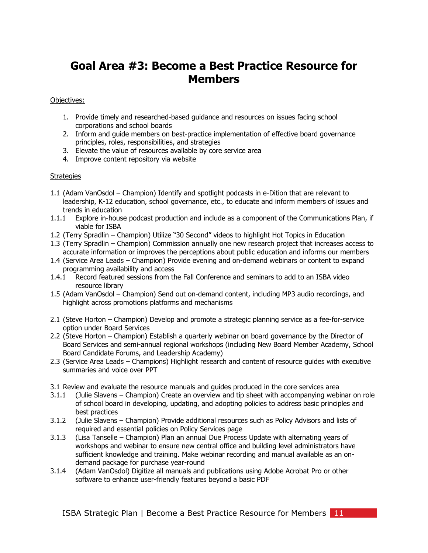## **Goal Area #3: Become a Best Practice Resource for Members**

Objectives:

- 1. Provide timely and researched-based guidance and resources on issues facing school corporations and school boards
- 2. Inform and guide members on best-practice implementation of effective board governance principles, roles, responsibilities, and strategies
- 3. Elevate the value of resources available by core service area
- 4. Improve content repository via website

- 1.1 (Adam VanOsdol Champion) Identify and spotlight podcasts in e-Dition that are relevant to leadership, K-12 education, school governance, etc., to educate and inform members of issues and trends in education
- 1.1.1 Explore in-house podcast production and include as a component of the Communications Plan, if viable for ISBA
- 1.2 (Terry Spradlin Champion) Utilize "30 Second" videos to highlight Hot Topics in Education
- 1.3 (Terry Spradlin Champion) Commission annually one new research project that increases access to accurate information or improves the perceptions about public education and informs our members
- 1.4 (Service Area Leads Champion) Provide evening and on-demand webinars or content to expand programming availability and access
- 1.4.1 Record featured sessions from the Fall Conference and seminars to add to an ISBA video resource library
- 1.5 (Adam VanOsdol Champion) Send out on-demand content, including MP3 audio recordings, and highlight across promotions platforms and mechanisms
- 2.1 (Steve Horton Champion) Develop and promote a strategic planning service as a fee-for-service option under Board Services
- 2.2 (Steve Horton Champion) Establish a quarterly webinar on board governance by the Director of Board Services and semi-annual regional workshops (including New Board Member Academy, School Board Candidate Forums, and Leadership Academy)
- 2.3 (Service Area Leads Champions) Highlight research and content of resource guides with executive summaries and voice over PPT
- 3.1 Review and evaluate the resource manuals and guides produced in the core services area
- 3.1.1 (Julie Slavens Champion) Create an overview and tip sheet with accompanying webinar on role of school board in developing, updating, and adopting policies to address basic principles and best practices
- 3.1.2 (Julie Slavens Champion) Provide additional resources such as Policy Advisors and lists of required and essential policies on Policy Services page
- 3.1.3 (Lisa Tanselle Champion) Plan an annual Due Process Update with alternating years of workshops and webinar to ensure new central office and building level administrators have sufficient knowledge and training. Make webinar recording and manual available as an ondemand package for purchase year-round
- 3.1.4 (Adam VanOsdol) Digitize all manuals and publications using Adobe Acrobat Pro or other software to enhance user-friendly features beyond a basic PDF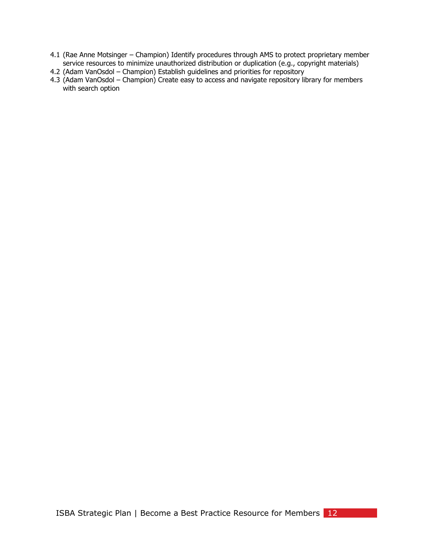- 4.1 (Rae Anne Motsinger Champion) Identify procedures through AMS to protect proprietary member service resources to minimize unauthorized distribution or duplication (e.g., copyright materials)
- 4.2 (Adam VanOsdol Champion) Establish guidelines and priorities for repository
- <span id="page-11-0"></span>4.3 (Adam VanOsdol – Champion) Create easy to access and navigate repository library for members with search option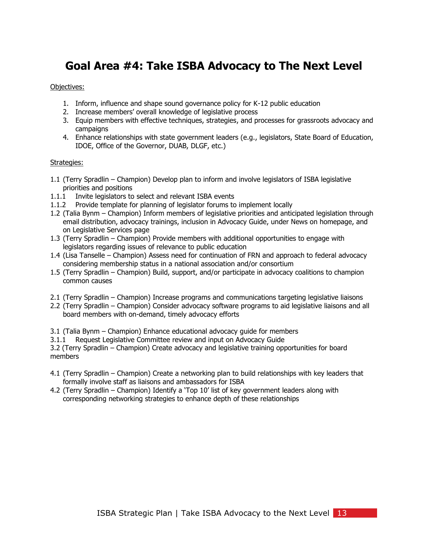## **Goal Area #4: Take ISBA Advocacy to The Next Level**

### Objectives:

- 1. Inform, influence and shape sound governance policy for K-12 public education
- 2. Increase members' overall knowledge of legislative process
- 3. Equip members with effective techniques, strategies, and processes for grassroots advocacy and campaigns
- 4. Enhance relationships with state government leaders (e.g., legislators, State Board of Education, IDOE, Office of the Governor, DUAB, DLGF, etc.)

#### Strategies:

- 1.1 (Terry Spradlin Champion) Develop plan to inform and involve legislators of ISBA legislative priorities and positions
- 1.1.1 Invite legislators to select and relevant ISBA events
- 1.1.2 Provide template for planning of legislator forums to implement locally
- 1.2 (Talia Bynm Champion) Inform members of legislative priorities and anticipated legislation through email distribution, advocacy trainings, inclusion in Advocacy Guide, under News on homepage, and on Legislative Services page
- 1.3 (Terry Spradlin Champion) Provide members with additional opportunities to engage with legislators regarding issues of relevance to public education
- 1.4 (Lisa Tanselle Champion) Assess need for continuation of FRN and approach to federal advocacy considering membership status in a national association and/or consortium
- 1.5 (Terry Spradlin Champion) Build, support, and/or participate in advocacy coalitions to champion common causes
- 2.1 (Terry Spradlin Champion) Increase programs and communications targeting legislative liaisons
- 2.2 (Terry Spradlin Champion) Consider advocacy software programs to aid legislative liaisons and all board members with on-demand, timely advocacy efforts
- 3.1 (Talia Bynm Champion) Enhance educational advocacy guide for members
- 3.1.1 Request Legislative Committee review and input on Advocacy Guide

3.2 (Terry Spradlin – Champion) Create advocacy and legislative training opportunities for board members

- 4.1 (Terry Spradlin Champion) Create a networking plan to build relationships with key leaders that formally involve staff as liaisons and ambassadors for ISBA
- <span id="page-12-0"></span>4.2 (Terry Spradlin – Champion) Identify a 'Top 10' list of key government leaders along with corresponding networking strategies to enhance depth of these relationships